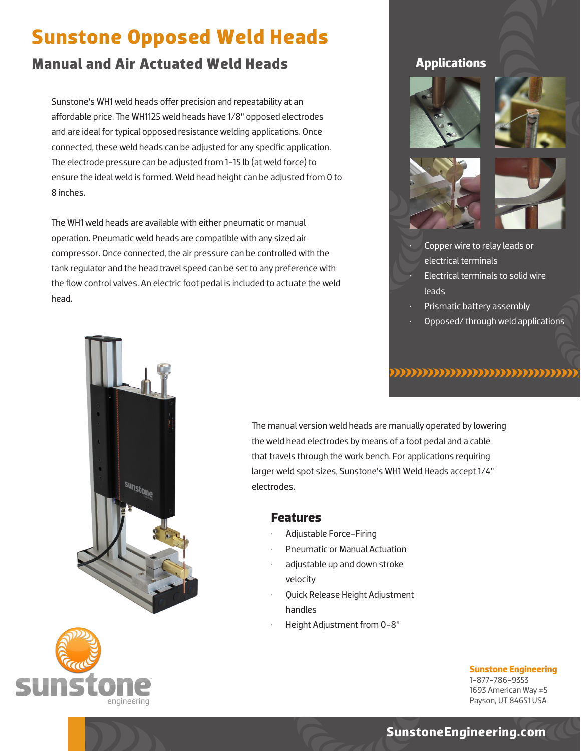# **Sunstone Opposed Weld Heads**

## **Manual and Air Actuated Weld Heads**

Sunstone's WH1 weld heads offer precision and repeatability at an affordable price. The WH1125 weld heads have 1/8" opposed electrodes and are ideal for typical opposed resistance welding applications. Once connected, these weld heads can be adjusted for any specific application. The electrode pressure can be adjusted from 1-15 lb (at weld force) to ensure the ideal weld is formed. Weld head height can be adjusted from 0 to 8 inches.

The WH1 weld heads are available with either pneumatic or manual operation. Pneumatic weld heads are compatible with any sized air compressor. Once connected, the air pressure can be controlled with the tank regulator and the head travel speed can be set to any preference with the flow control valves. An electric foot pedal is included to actuate the weld head.

#### **Applications**









• Copper wire to relay leads or electrical terminals • Electrical terminals to solid wire leads

- Prismatic battery assembly
- Opposed/ through weld applications

#### ,,,,,,,,,,,,,,,,,,,,,,,,,,,,,,,,



engineering

The manual version weld heads are manually operated by lowering the weld head electrodes by means of a foot pedal and a cable that travels through the work bench. For applications requiring larger weld spot sizes, Sunstone's WH1 Weld Heads accept 1/4" electrodes.

#### **Features**

- Adjustable Force-Firing
- Pneumatic or Manual Actuation
- adjustable up and down stroke velocity
- Quick Release Height Adjustment handles
	- Height Adjustment from 0-8"

**Sunstone Engineering** 1-877-786-9353 1693 American Way #5 Payson, UT 84651 USA

### **SunstoneEngineering.com**